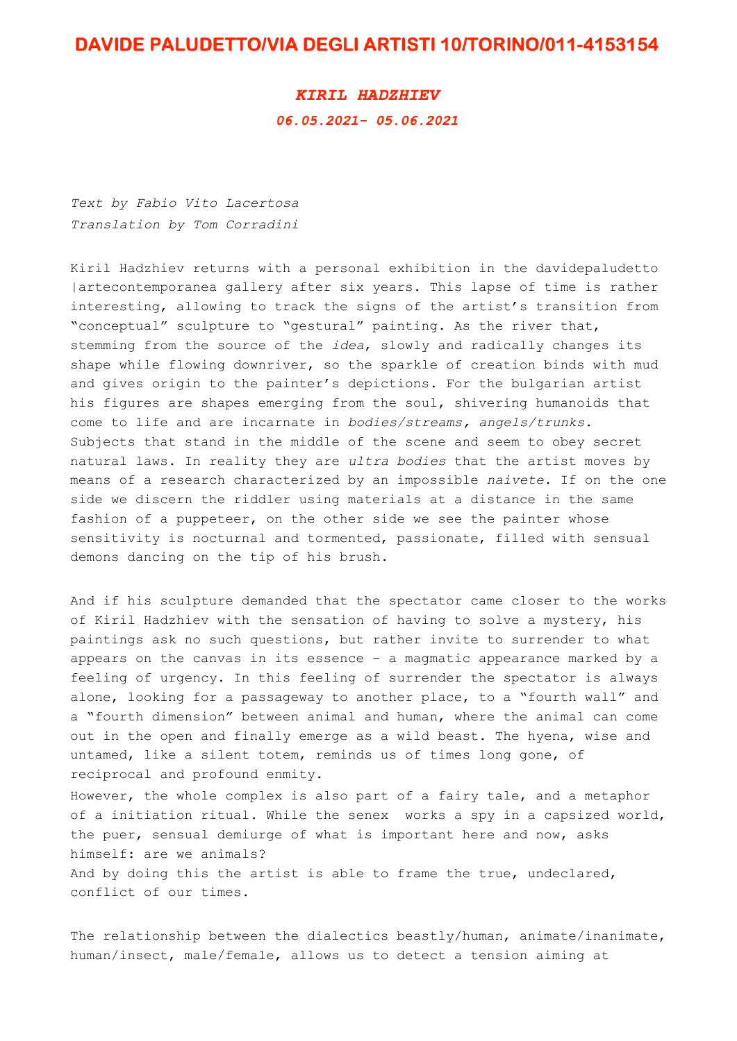## DAVIDE PALUDETTO/VIA DEGLI ARTISTI 10/TORINO/011-4153154

## **KIRIL HADZHIEV** 06.05.2021-05.06.2021

*Text by Fabio Vito Lacertosa Translation by Tom Corradini*

Kiril Hadzhiev returns with a personal exhibition in the davidepaludetto |artecontemporanea gallery after six years. This lapse of time is rather interesting, allowing to track the signs of the artist's transition from "conceptual" sculpture to "gestural" painting. As the river that, stemming from the source of the *idea*, slowly and radically changes its shape while flowing downriver, so the sparkle of creation binds with mud and gives origin to the painter's depictions. For the bulgarian artist his figures are shapes emerging from the soul, shivering humanoids that come to life and are incarnate in *bodies/streams, angels/trunks*. Subjects that stand in the middle of the scene and seem to obey secret natural laws. In reality they are *ultra bodies* that the artist moves by means of a research characterized by an impossible *naivete.* If on the one side we discern the riddler using materials at a distance in the same fashion of a puppeteer, on the other side we see the painter whose sensitivity is nocturnal and tormented, passionate, filled with sensual demons dancing on the tip of his brush.

And if his sculpture demanded that the spectator came closer to the works of Kiril Hadzhiev with the sensation of having to solve a mystery, his paintings ask no such questions, but rather invite to surrender to what appears on the canvas in its essence – a magmatic appearance marked by a feeling of urgency. In this feeling of surrender the spectator is always alone, looking for a passageway to another place, to a "fourth wall" and a "fourth dimension" between animal and human, where the animal can come out in the open and finally emerge as a wild beast. The hyena, wise and untamed, like a silent totem, reminds us of times long gone, of reciprocal and profound enmity.

However, the whole complex is also part of a fairy tale, and a metaphor of a initiation ritual. While the senex works a spy in a capsized world, the puer, sensual demiurge of what is important here and now, asks himself: are we animals? And by doing this the artist is able to frame the true, undeclared, conflict of our times.

The relationship between the dialectics beastly/human, animate/inanimate, human/insect, male/female, allows us to detect a tension aiming at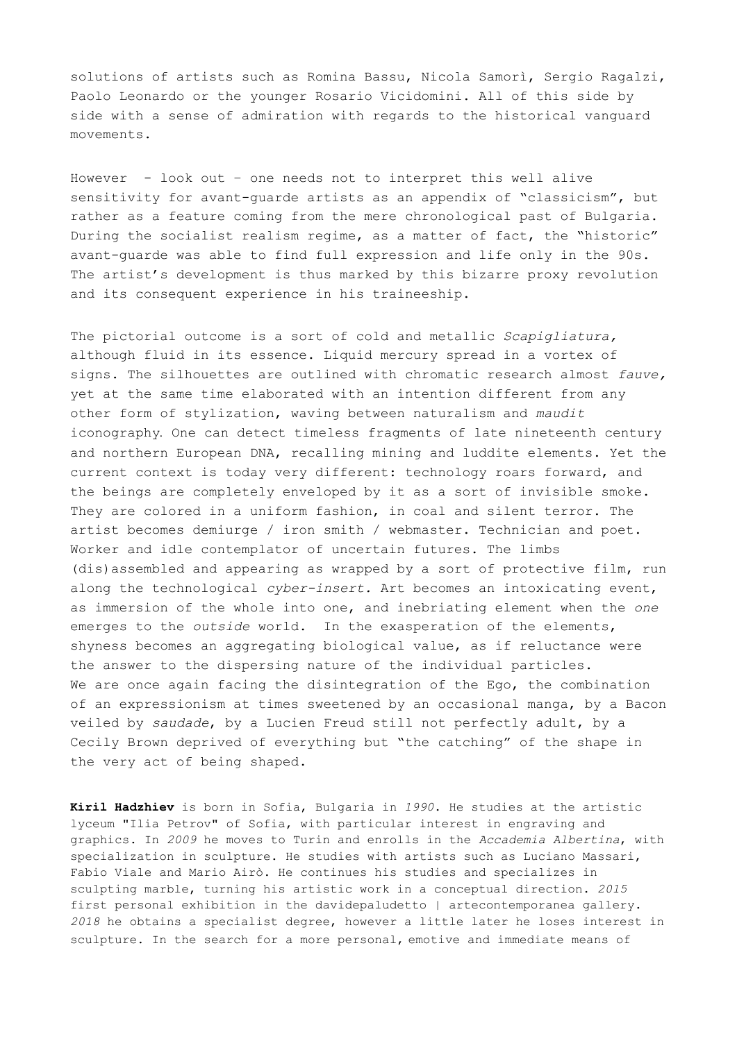solutions of artists such as Romina Bassu, Nicola Samorì, Sergio Ragalzi, Paolo Leonardo or the younger Rosario Vicidomini. All of this side by side with a sense of admiration with regards to the historical vanguard movements.

However - look out – one needs not to interpret this well alive sensitivity for avant-guarde artists as an appendix of "classicism", but rather as a feature coming from the mere chronological past of Bulgaria. During the socialist realism regime, as a matter of fact, the "historic" avant-guarde was able to find full expression and life only in the 90s. The artist's development is thus marked by this bizarre proxy revolution and its consequent experience in his traineeship.

The pictorial outcome is a sort of cold and metallic *Scapigliatura,*  although fluid in its essence. Liquid mercury spread in a vortex of signs. The silhouettes are outlined with chromatic research almost *fauve,* yet at the same time elaborated with an intention different from any other form of stylization, waving between naturalism and *maudit*  iconography*.* One can detect timeless fragments of late nineteenth century and northern European DNA, recalling mining and luddite elements. Yet the current context is today very different: technology roars forward, and the beings are completely enveloped by it as a sort of invisible smoke. They are colored in a uniform fashion, in coal and silent terror. The artist becomes demiurge / iron smith / webmaster. Technician and poet. Worker and idle contemplator of uncertain futures. The limbs (dis)assembled and appearing as wrapped by a sort of protective film, run along the technological *cyber-insert.* Art becomes an intoxicating event, as immersion of the whole into one, and inebriating element when the *one*  emerges to the *outside* world. In the exasperation of the elements, shyness becomes an aggregating biological value, as if reluctance were the answer to the dispersing nature of the individual particles. We are once again facing the disintegration of the Ego, the combination of an expressionism at times sweetened by an occasional manga, by a Bacon veiled by *saudade*, by a Lucien Freud still not perfectly adult, by a Cecily Brown deprived of everything but "the catching" of the shape in the very act of being shaped.

**Kiril Hadzhiev** is born in Sofia, Bulgaria in *1990*. He studies at the artistic lyceum "Ilia Petrov" of Sofia, with particular interest in engraving and graphics. In *2009* he moves to Turin and enrolls in the *Accademia Albertina*, with specialization in sculpture. He studies with artists such as Luciano Massari, Fabio Viale and Mario Airò. He continues his studies and specializes in sculpting marble, turning his artistic work in a conceptual direction. *2015*  first personal exhibition in the davidepaludetto | artecontemporanea gallery. *2018* he obtains a specialist degree, however a little later he loses interest in sculpture. In the search for a more personal, emotive and immediate means of